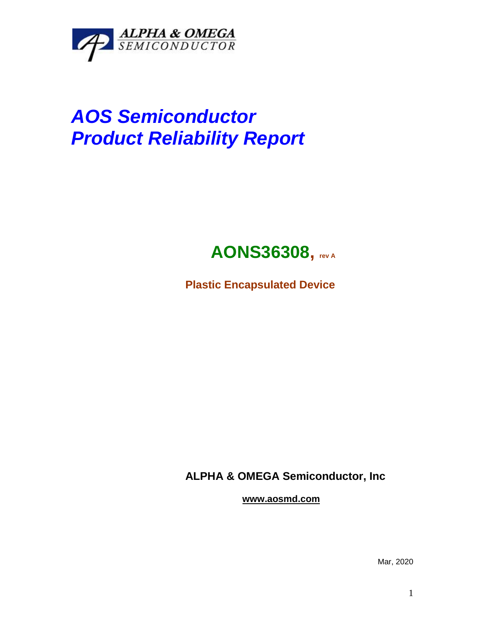

# *AOS Semiconductor Product Reliability Report*

## **AONS36308, rev <sup>A</sup>**

**Plastic Encapsulated Device**

**ALPHA & OMEGA Semiconductor, Inc**

**www.aosmd.com**

Mar, 2020